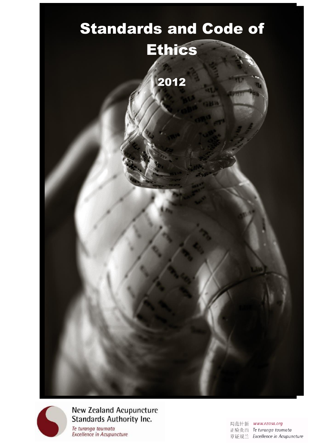



| 局范针新 | www.nzasa.ora                  |
|------|--------------------------------|
|      | 正验灸西 Te turanga taumata        |
|      | 章证规兰 Excellence in Acupuncture |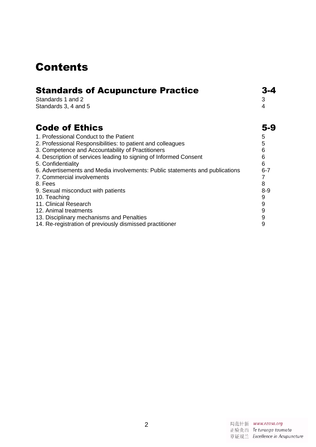## Contents

| <b>Standards of Acupuncture Practice</b>                                     |                  |
|------------------------------------------------------------------------------|------------------|
| Standards 1 and 2                                                            | 3                |
| Standards 3, 4 and 5                                                         | 4                |
| <b>Code of Ethics</b>                                                        | 5-9              |
| 1. Professional Conduct to the Patient                                       | 5                |
| 2. Professional Responsibilities: to patient and colleagues                  | 5                |
| 3. Competence and Accountability of Practitioners                            | 6                |
| 4. Description of services leading to signing of Informed Consent            | 6                |
| 5. Confidentiality                                                           | 6                |
| 6. Advertisements and Media involvements: Public statements and publications | $6 - 7$          |
| 7. Commercial involvements                                                   |                  |
| 8. Fees                                                                      | 8                |
| 9. Sexual misconduct with patients                                           | $8 - 9$          |
| 10. Teaching                                                                 | 9                |
| 11. Clinical Research                                                        | $\boldsymbol{9}$ |
| 12. Animal treatments                                                        | 9                |
| 13. Disciplinary mechanisms and Penalties                                    | 9                |
| 14. Re-registration of previously dismissed practitioner                     | 9                |

| 局范针新 | www.nzasa.org                  |
|------|--------------------------------|
|      | 正验灸西 Te turanga taumata        |
|      | 章证规兰 Excellence in Acupuncture |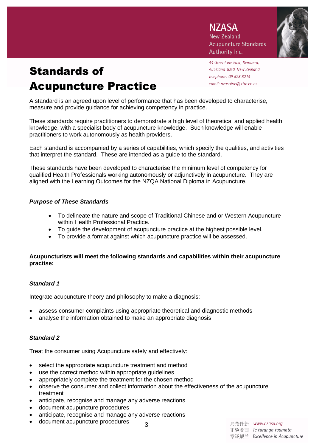**N7ASA New Zealand Acupuncture Standards** Authority Inc.

# Standards of Acupuncture Practice

44 Greenlane East, Remuera, Auckland 1050, New Zealand telephone: 09 528 8214 email: nzasainc@xtra.co.nz

A standard is an agreed upon level of performance that has been developed to characterise, measure and provide guidance for achieving competency in practice.

These standards require practitioners to demonstrate a high level of theoretical and applied health knowledge, with a specialist body of acupuncture knowledge. Such knowledge will enable practitioners to work autonomously as health providers.

Each standard is accompanied by a series of capabilities, which specify the qualities, and activities that interpret the standard. These are intended as a guide to the standard.

These standards have been developed to characterise the minimum level of competency for qualified Health Professionals working autonomously or adjunctively in acupuncture. They are aligned with the Learning Outcomes for the NZQA National Diploma in Acupuncture.

## *Purpose of These Standards*

- To delineate the nature and scope of Traditional Chinese and or Western Acupuncture within Health Professional Practice.
- To guide the development of acupuncture practice at the highest possible level.
- To provide a format against which acupuncture practice will be assessed.

#### **Acupuncturists will meet the following standards and capabilities within their acupuncture practise:**

## *Standard 1*

Integrate acupuncture theory and philosophy to make a diagnosis:

- assess consumer complaints using appropriate theoretical and diagnostic methods
- analyse the information obtained to make an appropriate diagnosis

## *Standard 2*

Treat the consumer using Acupuncture safely and effectively:

- select the appropriate acupuncture treatment and method
- use the correct method within appropriate guidelines
- appropriately complete the treatment for the chosen method
- observe the consumer and collect information about the effectiveness of the acupuncture treatment

3

- anticipate, recognise and manage any adverse reactions
- document acupuncture procedures
- anticipate, recognise and manage any adverse reactions
- document acupuncture procedures

局范针新 www.nzasa.org 正验灸西 Te turanga taumata 章证规兰 Excellence in Acupuncture

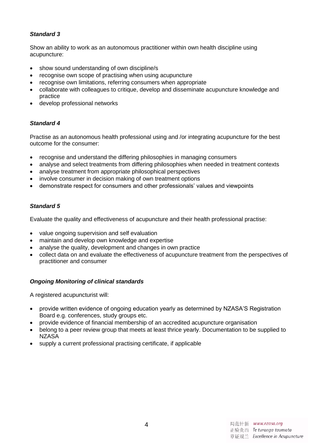## *Standard 3*

Show an ability to work as an autonomous practitioner within own health discipline using acupuncture:

- show sound understanding of own discipline/s
- recognise own scope of practising when using acupuncture
- recognise own limitations, referring consumers when appropriate
- collaborate with colleagues to critique, develop and disseminate acupuncture knowledge and practice
- develop professional networks

## *Standard 4*

Practise as an autonomous health professional using and /or integrating acupuncture for the best outcome for the consumer:

- recognise and understand the differing philosophies in managing consumers
- analyse and select treatments from differing philosophies when needed in treatment contexts
- analyse treatment from appropriate philosophical perspectives
- involve consumer in decision making of own treatment options
- demonstrate respect for consumers and other professionals' values and viewpoints

## *Standard 5*

Evaluate the quality and effectiveness of acupuncture and their health professional practise:

- value ongoing supervision and self evaluation
- maintain and develop own knowledge and expertise
- analyse the quality, development and changes in own practice
- collect data on and evaluate the effectiveness of acupuncture treatment from the perspectives of practitioner and consumer

## *Ongoing Monitoring of clinical standards*

A registered acupuncturist will:

- provide written evidence of ongoing education yearly as determined by NZASA'S Registration Board e.g. conferences, study groups etc.
- provide evidence of financial membership of an accredited acupuncture organisation
- belong to a peer review group that meets at least thrice yearly. Documentation to be supplied to **NZASA**
- supply a current professional practising certificate, if applicable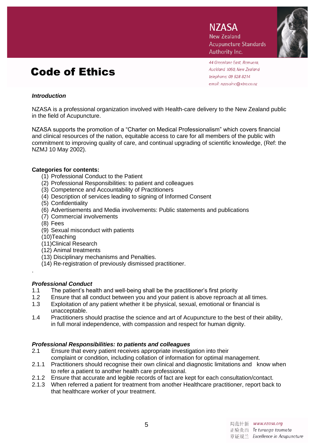## Code of Ethics

**N7ASA New Zealand Acupuncture Standards** Authority Inc.



44 Greenlane East, Remuera, Auckland 1050, New Zealand telephone: 09 528 8214 email: nzasainc@xtra.co.nz

## *Introduction*

NZASA is a professional organization involved with Health-care delivery to the New Zealand public in the field of Acupuncture.

NZASA supports the promotion of a "Charter on Medical Professionalism" which covers financial and clinical resources of the nation, equitable access to care for all members of the public with commitment to improving quality of care, and continual upgrading of scientific knowledge, (Ref: the NZMJ 10 May 2002).

## **Categories for contents:**

- (1) Professional Conduct to the Patient
- (2) Professional Responsibilities: to patient and colleagues
- (3) Competence and Accountability of Practitioners
- (4) Description of services leading to signing of Informed Consent
- (5) Confidentiality
- (6) Advertisements and Media involvements: Public statements and publications
- (7) Commercial involvements
- (8) Fees
- (9) Sexual misconduct with patients
- (10)Teaching
- (11)Clinical Research
- (12) Animal treatments
- (13) Disciplinary mechanisms and Penalties.
- (14) Re-registration of previously dismissed practitioner.
- .

## *Professional Conduct*

- 1.1 The patient's health and well-being shall be the practitioner's first priority
- 1.2 Ensure that all conduct between you and your patient is above reproach at all times.
- 1.3 Exploitation of any patient whether it be physical, sexual, emotional or financial is unacceptable.
- 1.4 Practitioners should practise the science and art of Acupuncture to the best of their ability, in full moral independence, with compassion and respect for human dignity.

## *Professional Responsibilities: to patients and colleagues*

- 2.1 Ensure that every patient receives appropriate investigation into their complaint or condition, including collation of information for optimal management.
- 2.1.1 Practitioners should recognise their own clinical and diagnostic limitations and know when to refer a patient to another health care professional.
- 2.1.2 Ensure that accurate and legible records of fact are kept for each consultation/contact.
- 2.1.3 When referred a patient for treatment from another Healthcare practitioner, report back to that healthcare worker of your treatment.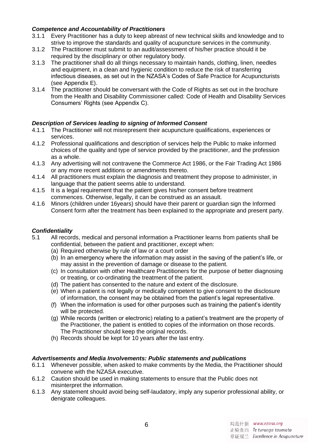## *Competence and Accountability of Practitioners*

- 3.1.1 Every Practitioner has a duty to keep abreast of new technical skills and knowledge and to strive to improve the standards and quality of acupuncture services in the community.
- 3.1.2 The Practitioner must submit to an audit/assessment of his/her practice should it be required by the disciplinary or other regulatory body.
- 3.1.3 The practitioner shall do all things necessary to maintain hands, clothing, linen, needles and equipment, in a clean and hygienic condition to reduce the risk of transferring infectious diseases, as set out in the NZASA's Codes of Safe Practice for Acupuncturists (see Appendix E).
- 3.1.4 The practitioner should be conversant with the Code of Rights as set out in the brochure from the Health and Disability Commissioner called: Code of Health and Disability Services Consumers' Rights (see Appendix C).

## *Description of Services leading to signing of Informed Consent*

- 4.1.1 The Practitioner will not misrepresent their acupuncture qualifications, experiences or services.
- 4.1.2 Professional qualifications and description of services help the Public to make informed choices of the quality and type of service provided by the practitioner, and the profession as a whole.
- 4.1.3 Any advertising will not contravene the Commerce Act 1986, or the Fair Trading Act 1986 or any more recent additions or amendments thereto.
- 4.1.4 All practitioners must explain the diagnosis and treatment they propose to administer, in language that the patient seems able to understand.
- 4.1.5 It is a legal requirement that the patient gives his/her consent before treatment commences. Otherwise, legally, it can be construed as an assault.
- 4.1.6 Minors (children under 16years) should have their parent or guardian sign the Informed Consent form after the treatment has been explained to the appropriate and present party.

## *Confidentiality*

- 5.1 All records, medical and personal information a Practitioner learns from patients shall be confidential, between the patient and practitioner, except when:
	- (a) Required otherwise by rule of law or a court order
	- (b) In an emergency where the information may assist in the saving of the patient's life, or may assist in the prevention of damage or disease to the patient.
	- (c) In consultation with other Healthcare Practitioners for the purpose of better diagnosing or treating, or co-ordinating the treatment of the patient.
	- (d) The patient has consented to the nature and extent of the disclosure.
	- (e) When a patient is not legally or medically competent to give consent to the disclosure of information, the consent may be obtained from the patient's legal representative.
	- (f) When the information is used for other purposes such as training the patient's identity will be protected.
	- (g) While records (written or electronic) relating to a patient's treatment are the property of the Practitioner, the patient is entitled to copies of the information on those records. The Practitioner should keep the original records.
	- (h) Records should be kept for 10 years after the last entry.

## *Advertisements and Media Involvements: Public statements and publications*

- 6.1.1 Whenever possible, when asked to make comments by the Media, the Practitioner should convene with the NZASA executive.
- 6.1.2 Caution should be used in making statements to ensure that the Public does not misinterpret the information.
- 6.1.3 Any statement should avoid being self-laudatory, imply any superior professional ability, or denigrate colleagues.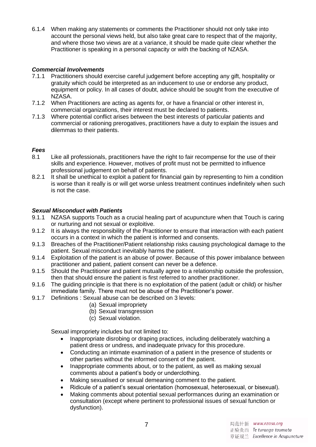6.1.4 When making any statements or comments the Practitioner should not only take into account the personal views held, but also take great care to respect that of the majority, and where those two views are at a variance, it should be made quite clear whether the Practitioner is speaking in a personal capacity or with the backing of NZASA.

## *Commercial Involvements*

- 7.1.1 Practitioners should exercise careful judgement before accepting any gift, hospitality or gratuity which could be interpreted as an inducement to use or endorse any product, equipment or policy. In all cases of doubt, advice should be sought from the executive of NZASA.
- 7.1.2 When Practitioners are acting as agents for, or have a financial or other interest in, commercial organizations, their interest must be declared to patients.
- 7.1.3 Where potential conflict arises between the best interests of particular patients and commercial or rationing prerogatives, practitioners have a duty to explain the issues and dilemmas to their patients.

## *Fees*

- 8.1 Like all professionals, practitioners have the right to fair recompense for the use of their skills and experience. However, motives of profit must not be permitted to influence professional judgement on behalf of patients.
- 8.2.1 It shall be unethical to exploit a patient for financial gain by representing to him a condition is worse than it really is or will get worse unless treatment continues indefinitely when such is not the case.

## *Sexual Misconduct with Patients*

- 9.1.1 NZASA supports Touch as a crucial healing part of acupuncture when that Touch is caring or nurturing and not sexual or exploitive.
- 9.1.2 It is always the responsibility of the Practitioner to ensure that interaction with each patient occurs in a context in which the patient is informed and consents.
- 9.1.3 Breaches of the Practitioner/Patient relationship risks causing psychological damage to the patient. Sexual misconduct inevitably harms the patient.
- 9.1.4 Exploitation of the patient is an abuse of power. Because of this power imbalance between practitioner and patient, patient consent can never be a defence.
- 9.1.5 Should the Practitioner and patient mutually agree to a relationship outside the profession, then that should ensure the patient is first referred to another practitioner.
- 9.1.6 The guiding principle is that there is no exploitation of the patient (adult or child) or his/her immediate family. There must not be abuse of the Practitioner's power.
- 9.1.7 Definitions : Sexual abuse can be described on 3 levels:
	- (a) Sexual impropriety
	- (b) Sexual transgression
	- (c) Sexual violation.

Sexual impropriety includes but not limited to:

- Inappropriate disrobing or draping practices, including deliberately watching a patient dress or undress, and inadequate privacy for this procedure.
- Conducting an intimate examination of a patient in the presence of students or other parties without the informed consent of the patient.
- Inappropriate comments about, or to the patient, as well as making sexual comments about a patient's body or underclothing.
- Making sexualised or sexual demeaning comment to the patient.
- Ridicule of a patient's sexual orientation (homosexual, heterosexual, or bisexual).
- Making comments about potential sexual performances during an examination or consultation (except where pertinent to professional issues of sexual function or dysfunction).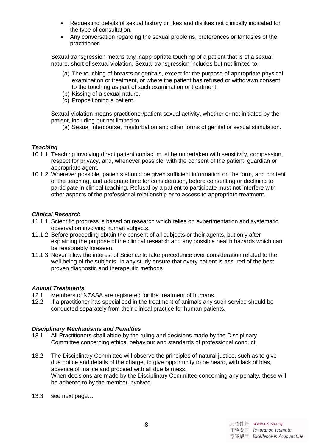- Requesting details of sexual history or likes and dislikes not clinically indicated for the type of consultation.
- Any conversation regarding the sexual problems, preferences or fantasies of the practitioner.

Sexual transgression means any inappropriate touching of a patient that is of a sexual nature, short of sexual violation. Sexual transgression includes but not limited to:

- (a) The touching of breasts or genitals, except for the purpose of appropriate physical examination or treatment, or where the patient has refused or withdrawn consent to the touching as part of such examination or treatment.
- (b) Kissing of a sexual nature.
- (c) Propositioning a patient.

Sexual Violation means practitioner/patient sexual activity, whether or not initiated by the patient, including but not limited to:

(a) Sexual intercourse, masturbation and other forms of genital or sexual stimulation.

#### *Teaching*

- 10.1.1 Teaching involving direct patient contact must be undertaken with sensitivity, compassion, respect for privacy, and, whenever possible, with the consent of the patient, guardian or appropriate agent.
- 10.1.2 Wherever possible, patients should be given sufficient information on the form, and content of the teaching, and adequate time for consideration, before consenting or declining to participate in clinical teaching. Refusal by a patient to participate must not interfere with other aspects of the professional relationship or to access to appropriate treatment.

## *Clinical Research*

- 11.1.1 Scientific progress is based on research which relies on experimentation and systematic observation involving human subjects.
- 11.1.2 Before proceeding obtain the consent of all subjects or their agents, but only after explaining the purpose of the clinical research and any possible health hazards which can be reasonably foreseen.
- 11.1.3 Never allow the interest of Science to take precedence over consideration related to the well being of the subjects. In any study ensure that every patient is assured of the bestproven diagnostic and therapeutic methods

#### *Animal Treatments*

- 12.1 Members of NZASA are registered for the treatment of humans.
- 12.2 If a practitioner has specialised in the treatment of animals any such service should be conducted separately from their clinical practice for human patients.

#### *Disciplinary Mechanisms and Penalties*

- 13.1 All Practitioners shall abide by the ruling and decisions made by the Disciplinary Committee concerning ethical behaviour and standards of professional conduct.
- 13.2 The Disciplinary Committee will observe the principles of natural justice, such as to give due notice and details of the charge, to give opportunity to be heard, with lack of bias, absence of malice and proceed with all due fairness. When decisions are made by the Disciplinary Committee concerning any penalty, these will be adhered to by the member involved.
- 13.3 see next page…